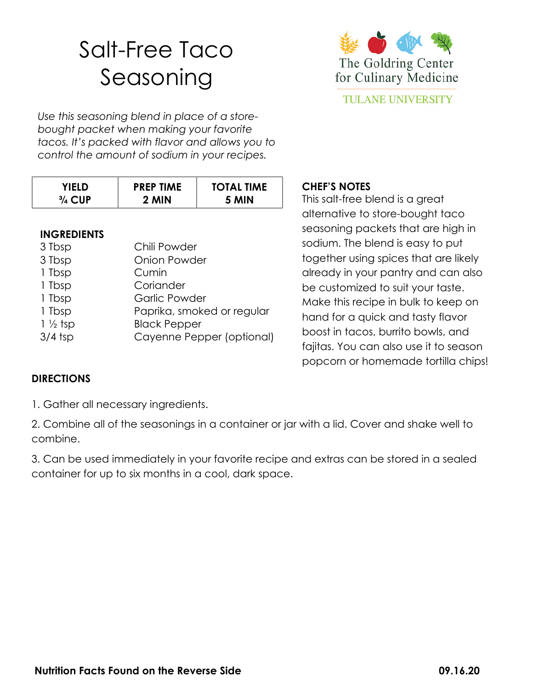## Salt-Free Taco Seasoning



*Use this seasoning blend in place of a storebought packet when making your favorite tacos. It's packed with flavor and allows you to control the amount of sodium in your recipes.* 

| YIFI D.           | <b>PREP TIME</b> | <b>TOTAL TIME</b> |
|-------------------|------------------|-------------------|
| $\frac{3}{4}$ CUP | 2 MIN            | 5 MIN             |

## **INGREDIENTS**

| 3 Tbsp             | Chili Powder               |
|--------------------|----------------------------|
| 3 Tbsp             | <b>Onion Powder</b>        |
| 1 Tbsp             | Cumin                      |
| 1 Tbsp             | Coriander                  |
| 1 Tbsp             | <b>Garlic Powder</b>       |
| 1 Tbsp             | Paprika, smoked or regular |
| $1\frac{1}{2}$ tsp | <b>Black Pepper</b>        |
| $3/4$ tsp          | Cayenne Pepper (optional)  |
|                    |                            |

## **CHEF'S NOTES**

This salt-free blend is a great alternative to store-bought taco seasoning packets that are high in sodium. The blend is easy to put together using spices that are likely already in your pantry and can also be customized to suit your taste. Make this recipe in bulk to keep on hand for a quick and tasty flavor boost in tacos, burrito bowls, and fajitas. You can also use it to season popcorn or homemade tortilla chips!

## **DIRECTIONS**

1. Gather all necessary ingredients.

2. Combine all of the seasonings in a container or jar with a lid. Cover and shake well to combine.

3. Can be used immediately in your favorite recipe and extras can be stored in a sealed container for up to six months in a cool, dark space.